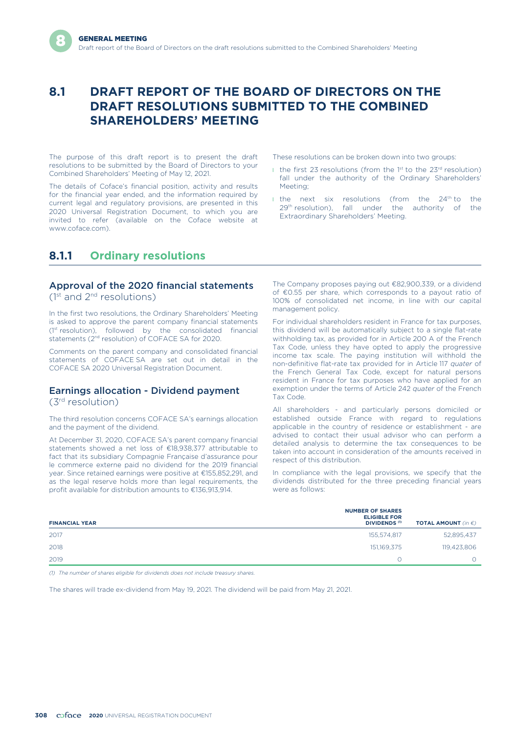# **8.1 DRAFT REPORT OF THE BOARD OF DIRECTORS ON THE DRAFT RESOLUTIONS SUBMITTED TO THE COMBINED SHAREHOLDERS' MEETING**

The purpose of this draft report is to present the draft resolutions to be submitted by the Board of Directors to your Combined Shareholders' Meeting of May 12, 2021.

The details of Coface's financial position, activity and results for the financial year ended, and the information required by current legal and regulatory provisions, are presented in this 2020 Universal Registration Document, to which you are invited to refer (available on the Coface website at www.coface.com).

These resolutions can be broken down into two groups:

- I the first 23 resolutions (from the 1st to the  $23<sup>rd</sup>$  resolution) fall under the authority of the Ordinary Shareholders' Meeting;
- $\blacksquare$  the next six resolutions (from the 24<sup>th</sup> to the 29<sup>th</sup> resolution), fall under the authority of the Extraordinary Shareholders' Meeting.

# **8.1.1 Ordinary resolutions**

## Approval of the 2020 financial statements

 $(1<sup>st</sup>$  and  $2<sup>nd</sup>$  resolutions)

In the first two resolutions, the Ordinary Shareholders' Meeting is asked to approve the parent company financial statements (1st resolution), followed by the consolidated financial statements (2<sup>nd</sup> resolution) of COFACE SA for 2020.

Comments on the parent company and consolidated financial statements of COFACE SA are set out in detail in the COFACE SA 2020 Universal Registration Document.

## Earnings allocation - Dividend payment

(3rd resolution)

The third resolution concerns COFACE SA's earnings allocation and the payment of the dividend.

At December 31, 2020, COFACE SA's parent company financial statements showed a net loss of €18,938,377 attributable to fact that its subsidiary Compagnie Française d'assurance pour le commerce externe paid no dividend for the 2019 financial year. Since retained earnings were positive at €155,852,291, and as the legal reserve holds more than legal requirements, the profit available for distribution amounts to €136,913,914.

The Company proposes paying out €82,900,339, or a dividend of €0.55 per share, which corresponds to a payout ratio of 100% of consolidated net income, in line with our capital management policy.

For individual shareholders resident in France for tax purposes, this dividend will be automatically subject to a single flat-rate withholding tax, as provided for in Article 200 A of the French Tax Code, unless they have opted to apply the progressive income tax scale. The paying institution will withhold the non-definitive flat-rate tax provided for in Article 117 *quater* of the French General Tax Code, except for natural persons resident in France for tax purposes who have applied for an exemption under the terms of Article 242 *quater* of the French Tax Code.

All shareholders - and particularly persons domiciled or established outside France with regard to regulations applicable in the country of residence or establishment - are advised to contact their usual advisor who can perform a detailed analysis to determine the tax consequences to be taken into account in consideration of the amounts received in respect of this distribution.

In compliance with the legal provisions, we specify that the dividends distributed for the three preceding financial years were as follows:

| 2017<br>155,574,817 | <b>TOTAL AMOUNT</b> (in $\epsilon$ ) |
|---------------------|--------------------------------------|
|                     | 52,895,437                           |
| 2018<br>151,169,375 | 119,423,806                          |
| 2019                |                                      |

*(1) The number of shares eligible for dividends does not include treasury shares.*

The shares will trade ex-dividend from May 19, 2021. The dividend will be paid from May 21, 2021.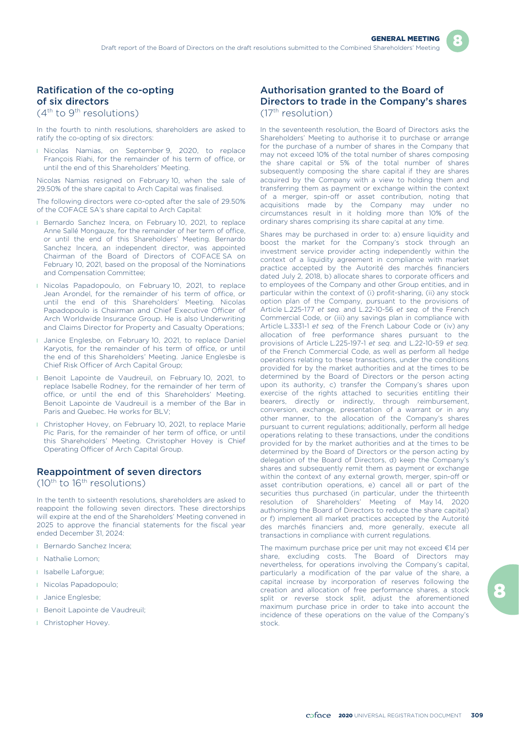## Ratification of the co-opting of six directors

 $(4^{\text{th}}$  to 9<sup>th</sup> resolutions)

In the fourth to ninth resolutions, shareholders are asked to ratify the co-opting of six directors:

**I** Nicolas Namias, on September 9, 2020, to replace François Riahi, for the remainder of his term of office, or until the end of this Shareholders' Meeting.

Nicolas Namias resigned on February 10, when the sale of 29.50% of the share capital to Arch Capital was finalised.

The following directors were co-opted after the sale of 29.50% of the COFACE SA's share capital to Arch Capital:

- **Bernardo Sanchez Incera, on February 10, 2021, to replace** Anne Sallé Mongauze, for the remainder of her term of office, or until the end of this Shareholders' Meeting. Bernardo Sanchez Incera, an independent director, was appointed Chairman of the Board of Directors of COFACE SA on February 10, 2021, based on the proposal of the Nominations and Compensation Committee;
- **I** Nicolas Papadopoulo, on February 10, 2021, to replace Jean Arondel, for the remainder of his term of office, or until the end of this Shareholders' Meeting. Nicolas Papadopoulo is Chairman and Chief Executive Officer of Arch Worldwide Insurance Group. He is also Underwriting and Claims Director for Property and Casualty Operations;
- **I** Janice Englesbe, on February 10, 2021, to replace Daniel Karyotis, for the remainder of his term of office, or until the end of this Shareholders' Meeting. Janice Englesbe is Chief Risk Officer of Arch Capital Group;
- **Benoit Lapointe de Vaudreuil, on February 10, 2021, to** replace Isabelle Rodney, for the remainder of her term of office, or until the end of this Shareholders' Meeting. Benoit Lapointe de Vaudreuil is a member of the Bar in Paris and Quebec. He works for BLV:
- **I** Christopher Hovey, on February 10, 2021, to replace Marie Pic Paris, for the remainder of her term of office, or until this Shareholders' Meeting. Christopher Hovey is Chief Operating Officer of Arch Capital Group.

## Reappointment of seven directors

(10th to 16th resolutions)

In the tenth to sixteenth resolutions, shareholders are asked to reappoint the following seven directors. These directorships will expire at the end of the Shareholders' Meeting convened in 2025 to approve the financial statements for the fiscal year ended December 31, 2024:

- l Bernardo Sanchez Incera;
- **I** Nathalie Lomon;
- l Isabelle Laforgue;
- **I** Nicolas Papadopoulo;
- l Janice Englesbe;
- **Benoit Lapointe de Vaudreuil;**
- **I** Christopher Hovey.

## Authorisation granted to the Board of Directors to trade in the Company's shares (17th resolution)

In the seventeenth resolution, the Board of Directors asks the Shareholders' Meeting to authorise it to purchase or arrange for the purchase of a number of shares in the Company that may not exceed 10% of the total number of shares composing the share capital or 5% of the total number of shares subsequently composing the share capital if they are shares acquired by the Company with a view to holding them and transferring them as payment or exchange within the context of a merger, spin-off or asset contribution, noting that acquisitions made by the Company may under no circumstances result in it holding more than 10% of the ordinary shares comprising its share capital at any time.

Shares may be purchased in order to: a) ensure liquidity and boost the market for the Company's stock through an investment service provider acting independently within the context of a liquidity agreement in compliance with market practice accepted by the Autorité des marchés financiers dated July 2, 2018, b) allocate shares to corporate officers and to employees of the Company and other Group entities, and in particular within the context of (i) profit-sharing, (ii) any stock option plan of the Company, pursuant to the provisions of Article L.225-177 *et seq.* and L.22-10-56 *et seq.* of the French Commercial Code, or (iii) any savings plan in compliance with Article L.3331-1 *et seq.* of the French Labour Code or (iv) any allocation of free performance shares pursuant to the provisions of Article L.225-197-1 *et seq.* and L.22-10-59 *et seq.* of the French Commercial Code, as well as perform all hedge operations relating to these transactions, under the conditions provided for by the market authorities and at the times to be determined by the Board of Directors or the person acting upon its authority, c) transfer the Company's shares upon exercise of the rights attached to securities entitling their bearers, directly or indirectly, through reimbursement, conversion, exchange, presentation of a warrant or in any other manner, to the allocation of the Company's shares pursuant to current regulations; additionally, perform all hedge operations relating to these transactions, under the conditions provided for by the market authorities and at the times to be determined by the Board of Directors or the person acting by delegation of the Board of Directors, d) keep the Company's shares and subsequently remit them as payment or exchange within the context of any external growth, merger, spin-off or asset contribution operations, e) cancel all or part of the securities thus purchased (in particular, under the thirteenth resolution of Shareholders' Meeting of May 14, 2020 authorising the Board of Directors to reduce the share capital) or f) implement all market practices accepted by the Autorité des marchés financiers and, more generally, execute all transactions in compliance with current regulations.

The maximum purchase price per unit may not exceed €14 per share, excluding costs. The Board of Directors may nevertheless, for operations involving the Company's capital, particularly a modification of the par value of the share, a capital increase by incorporation of reserves following the creation and allocation of free performance shares, a stock split or reverse stock split, adjust the aforementioned maximum purchase price in order to take into account the incidence of these operations on the value of the Company's stock.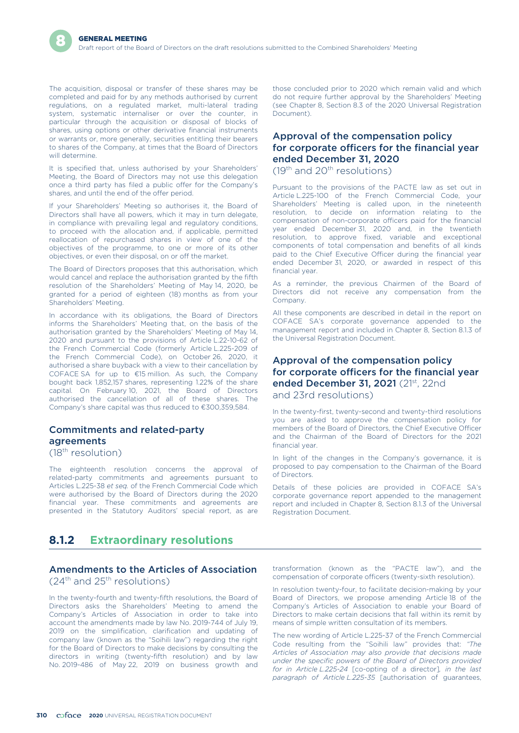The acquisition, disposal or transfer of these shares may be completed and paid for by any methods authorised by current regulations, on a regulated market, multi-lateral trading system, systematic internaliser or over the counter, in particular through the acquisition or disposal of blocks of shares, using options or other derivative financial instruments or warrants or, more generally, securities entitling their bearers to shares of the Company, at times that the Board of Directors will determine.

It is specified that, unless authorised by your Shareholders' Meeting, the Board of Directors may not use this delegation once a third party has filed a public offer for the Company's shares, and until the end of the offer period.

If your Shareholders' Meeting so authorises it, the Board of Directors shall have all powers, which it may in turn delegate, in compliance with prevailing legal and regulatory conditions, to proceed with the allocation and, if applicable, permitted reallocation of repurchased shares in view of one of the objectives of the programme, to one or more of its other objectives, or even their disposal, on or off the market.

The Board of Directors proposes that this authorisation, which would cancel and replace the authorisation granted by the fifth resolution of the Shareholders' Meeting of May 14, 2020, be granted for a period of eighteen (18) months as from your Shareholders' Meeting.

In accordance with its obligations, the Board of Directors informs the Shareholders' Meeting that, on the basis of the authorisation granted by the Shareholders' Meeting of May 14, 2020 and pursuant to the provisions of Article L.22-10-62 of the French Commercial Code (formerly Article L.225-209 of the French Commercial Code), on October 26, 2020, it authorised a share buyback with a view to their cancellation by COFACE SA for up to €15 million. As such, the Company bought back 1,852,157 shares, representing 1.22% of the share capital. On February 10, 2021, the Board of Directors authorised the cancellation of all of these shares. The Company's share capital was thus reduced to €300,359,584.

## Commitments and related-party agreements

(18th resolution)

The eighteenth resolution concerns the approval of related-party commitments and agreements pursuant to Articles L.225-38 *et seq.* of the French Commercial Code which were authorised by the Board of Directors during the 2020 financial year. These commitments and agreements are presented in the Statutory Auditors' special report, as are

## **8.1.2 Extraordinary resolutions**

### Amendments to the Articles of Association  $(24<sup>th</sup>$  and  $25<sup>th</sup>$  resolutions)

In the twenty-fourth and twenty-fifth resolutions, the Board of Directors asks the Shareholders' Meeting to amend the Company's Articles of Association in order to take into account the amendments made by law No. 2019-744 of July 19, 2019 on the simplification, clarification and updating of company law (known as the "Soihili law") regarding the right for the Board of Directors to make decisions by consulting the directors in writing (twenty-fifth resolution) and by law No. 2019-486 of May 22, 2019 on business growth and

those concluded prior to 2020 which remain valid and which do not require further approval by the Shareholders' Meeting (see Chapter 8, Section 8.3 of the 2020 Universal Registration Document)

## Approval of the compensation policy for corporate officers for the financial year ended December 31, 2020

 $(19<sup>th</sup>$  and  $20<sup>th</sup>$  resolutions)

Pursuant to the provisions of the PACTE law as set out in Article L.225-100 of the French Commercial Code, your Shareholders' Meeting is called upon, in the nineteenth resolution, to decide on information relating to the compensation of non-corporate officers paid for the financial year ended December 31, 2020 and, in the twentieth resolution, to approve fixed, variable and exceptional components of total compensation and benefits of all kinds paid to the Chief Executive Officer during the financial year ended December 31, 2020, or awarded in respect of this financial year.

As a reminder, the previous Chairmen of the Board of Directors did not receive any compensation from the Company.

All these components are described in detail in the report on COFACE SA's corporate governance appended to the management report and included in Chapter 8, Section 8.1.3 of the Universal Registration Document.

# Approval of the compensation policy for corporate officers for the financial year ended December 31, 2021 (21<sup>st</sup>, 22nd

and 23rd resolutions)

In the twenty-first, twenty-second and twenty-third resolutions you are asked to approve the compensation policy for members of the Board of Directors, the Chief Executive Officer and the Chairman of the Board of Directors for the 2021 financial year.

In light of the changes in the Company's governance, it is proposed to pay compensation to the Chairman of the Board of Directors.

Details of these policies are provided in COFACE SA's corporate governance report appended to the management report and included in Chapter 8, Section 8.1.3 of the Universal Registration Document.

transformation (known as the "PACTE law"), and the compensation of corporate officers (twenty-sixth resolution).

In resolution twenty-four, to facilitate decision-making by your Board of Directors, we propose amending Article 18 of the Company's Articles of Association to enable your Board of Directors to make certain decisions that fall within its remit by means of simple written consultation of its members.

The new wording of Article L.225-37 of the French Commercial Code resulting from the "Soihili law" provides that: *"The Articles of Association may also provide that decisions made under the specific powers of the Board of Directors provided for in Article L.225-24* [co-opting of a director]*, in the last paragraph of Article L.225-35* [authorisation of guarantees,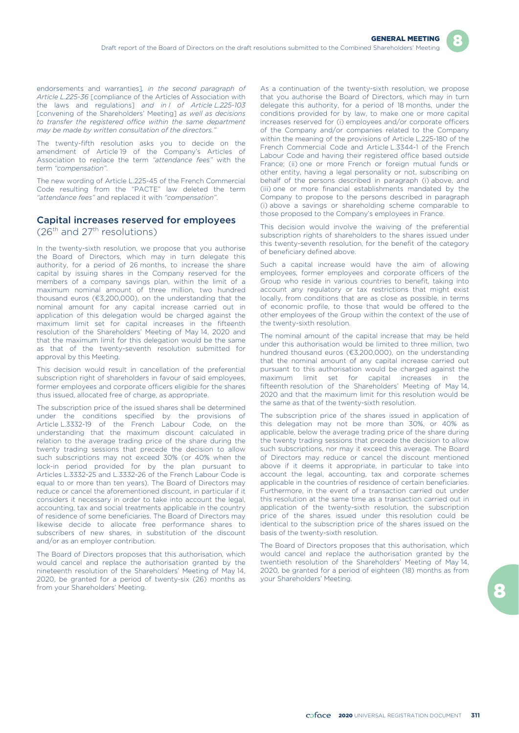endorsements and warranties]*, in the second paragraph of Article L.225-36* [compliance of the Articles of Association with the laws and regulations] *and in I of Article L.225-103* [convening of the Shareholders' Meeting] *as well as decisions to transfer the registered office within the same department may be made by written consultation of the directors."*

The twenty-fifth resolution asks you to decide on the amendment of Article 19 of the Company's Articles of Association to replace the term *"attendance fees"* with the term *"compensation"*.

The new wording of Article L.225-45 of the French Commercial Code resulting from the "PACTE" law deleted the term *"attendance fees"* and replaced it with *"compensation"*.

## Capital increases reserved for employees

 $(26<sup>th</sup>$  and  $27<sup>th</sup>$  resolutions)

In the twenty-sixth resolution, we propose that you authorise the Board of Directors, which may in turn delegate this authority, for a period of 26 months, to increase the share capital by issuing shares in the Company reserved for the members of a company savings plan, within the limit of a maximum nominal amount of three million, two hundred thousand euros (€3,200,000), on the understanding that the nominal amount for any capital increase carried out in application of this delegation would be charged against the maximum limit set for capital increases in the fifteenth resolution of the Shareholders' Meeting of May 14, 2020 and that the maximum limit for this delegation would be the same as that of the twenty-seventh resolution submitted for approval by this Meeting.

This decision would result in cancellation of the preferential subscription right of shareholders in favour of said employees, former employees and corporate officers eligible for the shares thus issued, allocated free of charge, as appropriate.

The subscription price of the issued shares shall be determined under the conditions specified by the provisions of Article L.3332-19 of the French Labour Code, on the understanding that the maximum discount calculated in relation to the average trading price of the share during the twenty trading sessions that precede the decision to allow such subscriptions may not exceed 30% (or 40% when the lock-in period provided for by the plan pursuant to Articles L.3332-25 and L.3332-26 of the French Labour Code is equal to or more than ten years). The Board of Directors may reduce or cancel the aforementioned discount, in particular if it considers it necessary in order to take into account the legal, accounting, tax and social treatments applicable in the country of residence of some beneficiaries. The Board of Directors may likewise decide to allocate free performance shares to subscribers of new shares, in substitution of the discount and/or as an employer contribution.

The Board of Directors proposes that this authorisation, which would cancel and replace the authorisation granted by the nineteenth resolution of the Shareholders' Meeting of May 14, 2020, be granted for a period of twenty-six (26) months as from your Shareholders' Meeting.

As a continuation of the twenty-sixth resolution, we propose that you authorise the Board of Directors, which may in turn delegate this authority, for a period of 18 months, under the conditions provided for by law, to make one or more capital increases reserved for (i) employees and/or corporate officers of the Company and/or companies related to the Company within the meaning of the provisions of Article L.225-180 of the French Commercial Code and Article L.3344-1 of the French Labour Code and having their registered office based outside France; (ii) one or more French or foreign mutual funds or other entity, having a legal personality or not, subscribing on behalf of the persons described in paragraph (i) above, and (iii) one or more financial establishments mandated by the Company to propose to the persons described in paragraph (i) above a savings or shareholding scheme comparable to those proposed to the Company's employees in France.

This decision would involve the waiving of the preferential subscription rights of shareholders to the shares issued under this twenty-seventh resolution, for the benefit of the category of beneficiary defined above.

Such a capital increase would have the aim of allowing employees, former employees and corporate officers of the Group who reside in various countries to benefit, taking into account any regulatory or tax restrictions that might exist locally, from conditions that are as close as possible, in terms of economic profile, to those that would be offered to the other employees of the Group within the context of the use of the twenty-sixth resolution.

The nominal amount of the capital increase that may be held under this authorisation would be limited to three million, two hundred thousand euros (€3,200,000), on the understanding that the nominal amount of any capital increase carried out pursuant to this authorisation would be charged against the maximum limit set for capital increases in the fifteenth resolution of the Shareholders' Meeting of May 14, 2020 and that the maximum limit for this resolution would be the same as that of the twenty-sixth resolution.

The subscription price of the shares issued in application of this delegation may not be more than 30%, or 40% as applicable, below the average trading price of the share during the twenty trading sessions that precede the decision to allow such subscriptions, nor may it exceed this average. The Board of Directors may reduce or cancel the discount mentioned above if it deems it appropriate, in particular to take into account the legal, accounting, tax and corporate schemes applicable in the countries of residence of certain beneficiaries. Furthermore, in the event of a transaction carried out under this resolution at the same time as a transaction carried out in application of the twenty-sixth resolution, the subscription price of the shares issued under this resolution could be identical to the subscription price of the shares issued on the basis of the twenty-sixth resolution.

The Board of Directors proposes that this authorisation, which would cancel and replace the authorisation granted by the twentieth resolution of the Shareholders' Meeting of May 14, 2020, be granted for a period of eighteen (18) months as from your Shareholders' Meeting.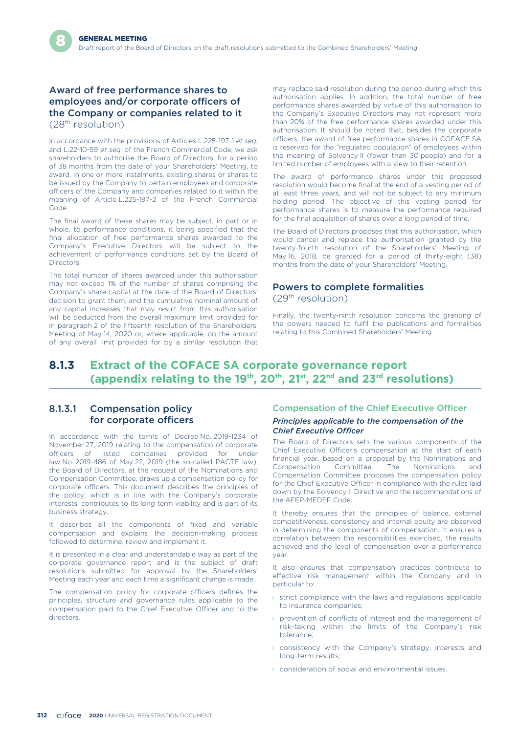## Award of free performance shares to employees and/or corporate officers of the Company or companies related to it (28th resolution)

In accordance with the provisions of Articles L.225-197-1 *et seq.* and L.22-10-59 *et seq.* of the French Commercial Code, we ask shareholders to authorise the Board of Directors, for a period of 38 months from the date of your Shareholders' Meeting, to award, in one or more instalments, existing shares or shares to be issued by the Company to certain employees and corporate officers of the Company and companies related to it within the meaning of Article L.225-197-2 of the French Commercial Code.

The final award of these shares may be subject, in part or in whole, to performance conditions, it being specified that the final allocation of free performance shares awarded to the Company's Executive Directors will be subject to the achievement of performance conditions set by the Board of Directors.

The total number of shares awarded under this authorisation may not exceed 1% of the number of shares comprising the Company's share capital at the date of the Board of Directors' decision to grant them, and the cumulative nominal amount of any capital increases that may result from this authorisation will be deducted from the overall maximum limit provided for in paragraph 2 of the fifteenth resolution of the Shareholders' Meeting of May 14, 2020 or, where applicable, on the amount of any overall limit provided for by a similar resolution that

may replace said resolution during the period during which this authorisation applies. In addition, the total number of free performance shares awarded by virtue of this authorisation to the Company's Executive Directors may not represent more than 20% of the free performance shares awarded under this authorisation. It should be noted that, besides the corporate officers, the award of free performance shares in COFACE SA is reserved for the "regulated population" of employees within the meaning of Solvency II (fewer than 30 people) and for a limited number of employees with a view to their retention.

The award of performance shares under this proposed resolution would become final at the end of a vesting period of at least three years, and will not be subject to any minimum holding period. The objective of this vesting period for performance shares is to measure the performance required for the final acquisition of shares over a long period of time.

The Board of Directors proposes that this authorisation, which would cancel and replace the authorisation granted by the twenty-fourth resolution of the Shareholders' Meeting of May 16, 2018, be granted for a period of thirty-eight (38) months from the date of your Shareholders' Meeting.

### Powers to complete formalities (29th resolution)

Finally, the twenty-ninth resolution concerns the granting of the powers needed to fulfil the publications and formalities relating to this Combined Shareholders' Meeting.

# **8.1.3 Extract of the COFACE SA corporate governance report (appendix relating to the 19th, 20th, 21st, 22nd and 23rd resolutions)**

## 8.1.3.1 Compensation policy for corporate officers

In accordance with the terms of Decree No. 2019-1234 of November 27, 2019 relating to the compensation of corporate officers of listed companies provided for under law No. 2019-486 of May 22, 2019 (the so-called PACTE law), the Board of Directors, at the request of the Nominations and Compensation Committee, draws up a compensation policy for corporate officers. This document describes the principles of the policy, which is in line with the Company's corporate interests, contributes to its long term viability and is part of its business strategy.

It describes all the components of fixed and variable compensation and explains the decision-making process followed to determine, review and implement it.

It is presented in a clear and understandable way as part of the corporate governance report and is the subject of draft resolutions submitted for approval by the Shareholders' Meeting each year and each time a significant change is made.

The compensation policy for corporate officers defines the principles, structure and governance rules applicable to the compensation paid to the Chief Executive Officer and to the directors.

### Compensation of the Chief Executive Officer

#### *Principles applicable to the compensation of the Chief Executive Officer*

The Board of Directors sets the various components of the Chief Executive Officer's compensation at the start of each financial year, based on a proposal by the Nominations and Compensation Committee. The Nominations and Compensation Committee proposes the compensation policy for the Chief Executive Officer in compliance with the rules laid down by the Solvency II Directive and the recommendations of the AFEP-MEDEF Code.

It thereby ensures that the principles of balance, external competitiveness, consistency and internal equity are observed in determining the components of compensation. It ensures a correlation between the responsibilities exercised, the results achieved and the level of compensation over a performance year.

It also ensures that compensation practices contribute to effective risk management within the Company and in particular to:

- **I** strict compliance with the laws and regulations applicable to insurance companies;
- **I** prevention of conflicts of interest and the management of risk-taking within the limits of the Company's risk tolerance;
- **I** consistency with the Company's strategy, interests and long-term results;
- **I** consideration of social and environmental issues.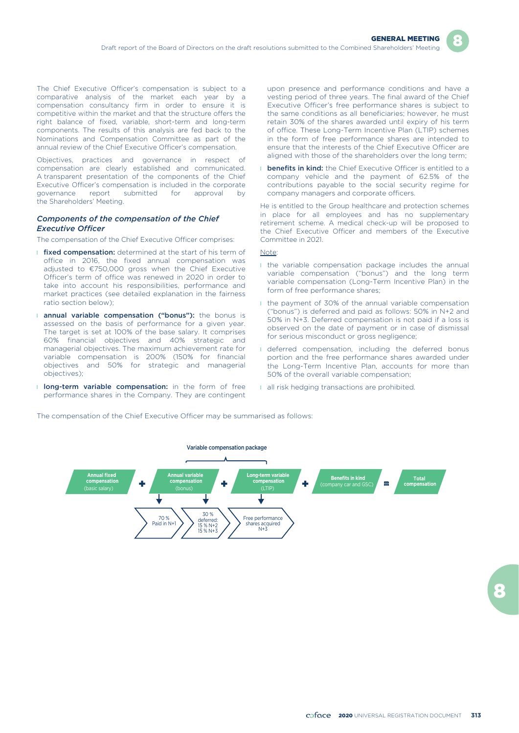The Chief Executive Officer's compensation is subject to a comparative analysis of the market each year by a compensation consultancy firm in order to ensure it is competitive within the market and that the structure offers the right balance of fixed, variable, short-term and long-term components. The results of this analysis are fed back to the Nominations and Compensation Committee as part of the annual review of the Chief Executive Officer's compensation.

Objectives, practices and governance in respect of compensation are clearly established and communicated. A transparent presentation of the components of the Chief Executive Officer's compensation is included in the corporate governance report submitted for approval by the Shareholders' Meeting.

#### *Components of the compensation of the Chief Executive Officer*

The compensation of the Chief Executive Officer comprises:

- **I** fixed compensation: determined at the start of his term of office in 2016, the fixed annual compensation was adjusted to €750,000 gross when the Chief Executive Officer's term of office was renewed in 2020 in order to take into account his responsibilities, performance and market practices (see detailed explanation in the fairness ratio section below);
- **I annual variable compensation ("bonus"):** the bonus is assessed on the basis of performance for a given year. The target is set at 100% of the base salary. It comprises 60% financial objectives and 40% strategic and managerial objectives. The maximum achievement rate for variable compensation is 200% (150% for financial objectives and 50% for strategic and managerial objectives);
- **I long-term variable compensation:** in the form of free performance shares in the Company. They are contingent

upon presence and performance conditions and have a vesting period of three years. The final award of the Chief Executive Officer's free performance shares is subject to the same conditions as all beneficiaries; however, he must retain 30% of the shares awarded until expiry of his term of office. These Long-Term Incentive Plan (LTIP) schemes in the form of free performance shares are intended to ensure that the interests of the Chief Executive Officer are aligned with those of the shareholders over the long term;

**I** benefits in kind: the Chief Executive Officer is entitled to a company vehicle and the payment of 62.5% of the contributions payable to the social security regime for company managers and corporate officers.

He is entitled to the Group healthcare and protection schemes in place for all employees and has no supplementary retirement scheme. A medical check-up will be proposed to the Chief Executive Officer and members of the Executive Committee in 2021.

#### Note:

- **I** the variable compensation package includes the annual variable compensation ("bonus") and the long term variable compensation (Long-Term Incentive Plan) in the form of free performance shares;
- I the payment of 30% of the annual variable compensation ("bonus") is deferred and paid as follows: 50% in N+2 and 50% in N+3. Deferred compensation is not paid if a loss is observed on the date of payment or in case of dismissal for serious misconduct or gross negligence;
- I deferred compensation, including the deferred bonus portion and the free performance shares awarded under the Long-Term Incentive Plan, accounts for more than 50% of the overall variable compensation;
- **I** all risk hedging transactions are prohibited.

The compensation of the Chief Executive Officer may be summarised as follows:

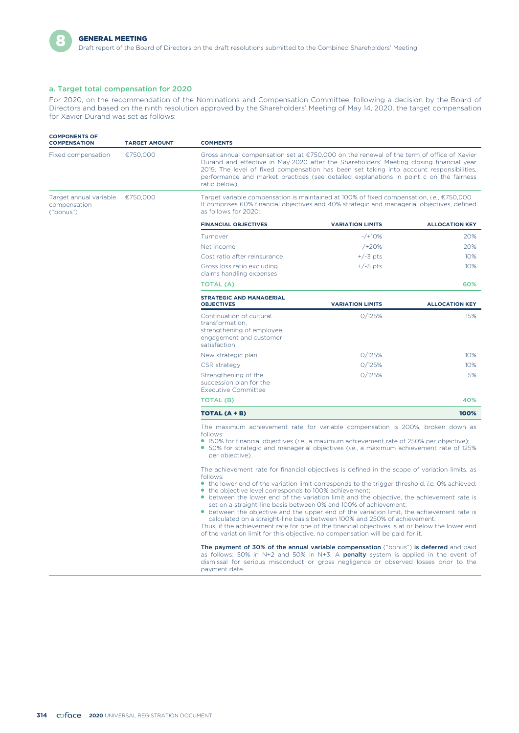

Draft report of the Board of Directors on the draft resolutions submitted to the Combined Shareholders' Meeting

### a. Target total compensation for 2020

For 2020, on the recommendation of the Nominations and Compensation Committee, following a decision by the Board of Directors and based on the ninth resolution approved by the Shareholders' Meeting of May 14, 2020, the target compensation for Xavier Durand was set as follows:

| <b>COMPONENTS OF</b><br><b>COMPENSATION</b>         | <b>TARGET AMOUNT</b> | <b>COMMENTS</b>                                                                                                                                                                                                                                                                                                                                                                                                                                                                                                                                                                                                                                                                                                                                                                                                                                                                                                                                                                                                                                                                                             |                                                                                                                                                                                         |                       |  |  |  |
|-----------------------------------------------------|----------------------|-------------------------------------------------------------------------------------------------------------------------------------------------------------------------------------------------------------------------------------------------------------------------------------------------------------------------------------------------------------------------------------------------------------------------------------------------------------------------------------------------------------------------------------------------------------------------------------------------------------------------------------------------------------------------------------------------------------------------------------------------------------------------------------------------------------------------------------------------------------------------------------------------------------------------------------------------------------------------------------------------------------------------------------------------------------------------------------------------------------|-----------------------------------------------------------------------------------------------------------------------------------------------------------------------------------------|-----------------------|--|--|--|
| Fixed compensation                                  | €750,000             | Gross annual compensation set at €750,000 on the renewal of the term of office of Xavier<br>Durand and effective in May 2020 after the Shareholders' Meeting closing financial year<br>2019. The level of fixed compensation has been set taking into account responsibilities,<br>performance and market practices (see detailed explanations in point c on the fairness<br>ratio below).                                                                                                                                                                                                                                                                                                                                                                                                                                                                                                                                                                                                                                                                                                                  |                                                                                                                                                                                         |                       |  |  |  |
| Target annual variable<br>compensation<br>("bonus") | €750,000             | as follows for 2020:                                                                                                                                                                                                                                                                                                                                                                                                                                                                                                                                                                                                                                                                                                                                                                                                                                                                                                                                                                                                                                                                                        | Target variable compensation is maintained at 100% of fixed compensation, i.e., €750,000.<br>It comprises 60% financial objectives and 40% strategic and managerial objectives, defined |                       |  |  |  |
|                                                     |                      | <b>FINANCIAL OBJECTIVES</b>                                                                                                                                                                                                                                                                                                                                                                                                                                                                                                                                                                                                                                                                                                                                                                                                                                                                                                                                                                                                                                                                                 | <b>VARIATION LIMITS</b>                                                                                                                                                                 | <b>ALLOCATION KEY</b> |  |  |  |
|                                                     |                      | Turnover                                                                                                                                                                                                                                                                                                                                                                                                                                                                                                                                                                                                                                                                                                                                                                                                                                                                                                                                                                                                                                                                                                    | $-$ /+10%                                                                                                                                                                               | 20%                   |  |  |  |
|                                                     |                      | Net income                                                                                                                                                                                                                                                                                                                                                                                                                                                                                                                                                                                                                                                                                                                                                                                                                                                                                                                                                                                                                                                                                                  | $-$ /+20%                                                                                                                                                                               | 20%                   |  |  |  |
|                                                     |                      | Cost ratio after reinsurance                                                                                                                                                                                                                                                                                                                                                                                                                                                                                                                                                                                                                                                                                                                                                                                                                                                                                                                                                                                                                                                                                | $+/-3$ pts                                                                                                                                                                              | 10%                   |  |  |  |
|                                                     |                      | Gross loss ratio excluding<br>claims handling expenses                                                                                                                                                                                                                                                                                                                                                                                                                                                                                                                                                                                                                                                                                                                                                                                                                                                                                                                                                                                                                                                      | $+/-5$ pts                                                                                                                                                                              | 10%                   |  |  |  |
|                                                     |                      | <b>TOTAL (A)</b>                                                                                                                                                                                                                                                                                                                                                                                                                                                                                                                                                                                                                                                                                                                                                                                                                                                                                                                                                                                                                                                                                            |                                                                                                                                                                                         | 60%                   |  |  |  |
|                                                     |                      | <b>STRATEGIC AND MANAGERIAL</b><br><b>OBJECTIVES</b>                                                                                                                                                                                                                                                                                                                                                                                                                                                                                                                                                                                                                                                                                                                                                                                                                                                                                                                                                                                                                                                        | <b>VARIATION LIMITS</b>                                                                                                                                                                 | <b>ALLOCATION KEY</b> |  |  |  |
|                                                     |                      | Continuation of cultural<br>transformation.<br>strengthening of employee<br>engagement and customer<br>satisfaction                                                                                                                                                                                                                                                                                                                                                                                                                                                                                                                                                                                                                                                                                                                                                                                                                                                                                                                                                                                         | 0/125%                                                                                                                                                                                  | 15%                   |  |  |  |
|                                                     |                      | New strategic plan                                                                                                                                                                                                                                                                                                                                                                                                                                                                                                                                                                                                                                                                                                                                                                                                                                                                                                                                                                                                                                                                                          | 0/125%                                                                                                                                                                                  | 10%                   |  |  |  |
|                                                     |                      | CSR strategy                                                                                                                                                                                                                                                                                                                                                                                                                                                                                                                                                                                                                                                                                                                                                                                                                                                                                                                                                                                                                                                                                                | 0/125%                                                                                                                                                                                  | 10%                   |  |  |  |
|                                                     |                      | Strengthening of the<br>succession plan for the<br><b>Executive Committee</b>                                                                                                                                                                                                                                                                                                                                                                                                                                                                                                                                                                                                                                                                                                                                                                                                                                                                                                                                                                                                                               | 0/125%                                                                                                                                                                                  | 5%                    |  |  |  |
|                                                     |                      | <b>TOTAL (B)</b>                                                                                                                                                                                                                                                                                                                                                                                                                                                                                                                                                                                                                                                                                                                                                                                                                                                                                                                                                                                                                                                                                            |                                                                                                                                                                                         | 40%                   |  |  |  |
|                                                     |                      | TOTAL (A + B)                                                                                                                                                                                                                                                                                                                                                                                                                                                                                                                                                                                                                                                                                                                                                                                                                                                                                                                                                                                                                                                                                               |                                                                                                                                                                                         | 100%                  |  |  |  |
|                                                     |                      | The maximum achievement rate for variable compensation is 200%, broken down as<br>follows:<br>• 150% for financial objectives ( <i>i.e.</i> , a maximum achievement rate of 250% per objective);<br>• 50% for strategic and managerial objectives ( <i>i.e.</i> , a maximum achievement rate of 125%<br>per objective).                                                                                                                                                                                                                                                                                                                                                                                                                                                                                                                                                                                                                                                                                                                                                                                     |                                                                                                                                                                                         |                       |  |  |  |
|                                                     |                      | The achievement rate for financial objectives is defined in the scope of variation limits, as<br>follows:<br>• the lower end of the variation limit corresponds to the trigger threshold, <i>i.e.</i> 0% achieved;<br>• the objective level corresponds to 100% achievement;<br>• between the lower end of the variation limit and the objective, the achievement rate is<br>set on a straight-line basis between 0% and 100% of achievement;<br>• between the objective and the upper end of the variation limit, the achievement rate is<br>calculated on a straight-line basis between 100% and 250% of achievement.<br>Thus, if the achievement rate for one of the financial objectives is at or below the lower end<br>of the variation limit for this objective, no compensation will be paid for it.<br>The payment of 30% of the annual variable compensation ("bonus") is deferred and paid<br>as follows: 50% in N+2 and 50% in N+3. A <b>penalty</b> system is applied in the event of<br>dismissal for serious misconduct or gross negligence or observed losses prior to the<br>payment date. |                                                                                                                                                                                         |                       |  |  |  |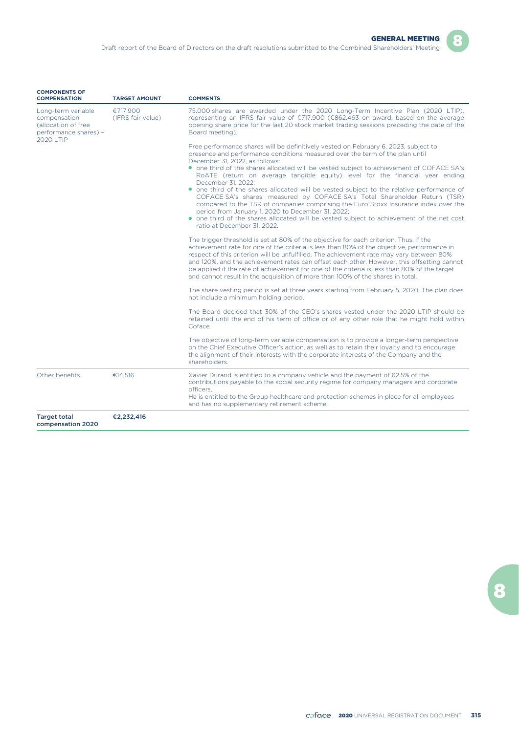| <b>COMPONENTS OF</b><br><b>COMPENSATION</b>                                                      | <b>TARGET AMOUNT</b>          | <b>COMMENTS</b>                                                                                                                                                                                                                                                                                                                                                                                                                                                                                                                                                                                                                                                                                                                                                                                                                                             |
|--------------------------------------------------------------------------------------------------|-------------------------------|-------------------------------------------------------------------------------------------------------------------------------------------------------------------------------------------------------------------------------------------------------------------------------------------------------------------------------------------------------------------------------------------------------------------------------------------------------------------------------------------------------------------------------------------------------------------------------------------------------------------------------------------------------------------------------------------------------------------------------------------------------------------------------------------------------------------------------------------------------------|
| Long-term variable<br>compensation<br>(allocation of free<br>performance shares) -<br>2020   TIP | €717.900<br>(IFRS fair value) | 75,000 shares are awarded under the 2020 Long-Term Incentive Plan (2020 LTIP),<br>representing an IFRS fair value of €717,900 (€862,463 on award, based on the average<br>opening share price for the last 20 stock market trading sessions preceding the date of the<br>Board meeting).                                                                                                                                                                                                                                                                                                                                                                                                                                                                                                                                                                    |
|                                                                                                  |                               | Free performance shares will be definitively vested on February 6, 2023, subject to<br>presence and performance conditions measured over the term of the plan until<br>December 31, 2022, as follows:<br>• one third of the shares allocated will be vested subject to achievement of COFACE SA's<br>RoATE (return on average tangible equity) level for the financial year ending<br>December 31, 2022:<br>• one third of the shares allocated will be vested subject to the relative performance of<br>COFACE SA's shares, measured by COFACE SA's Total Shareholder Return (TSR)<br>compared to the TSR of companies comprising the Euro Stoxx Insurance index over the<br>period from January 1, 2020 to December 31, 2022;<br>• one third of the shares allocated will be vested subject to achievement of the net cost<br>ratio at December 31, 2022. |
|                                                                                                  |                               | The trigger threshold is set at 80% of the objective for each criterion. Thus, if the<br>achievement rate for one of the criteria is less than 80% of the objective, performance in<br>respect of this criterion will be unfulfilled. The achievement rate may vary between 80%<br>and 120%, and the achievement rates can offset each other. However, this offsetting cannot<br>be applied if the rate of achievement for one of the criteria is less than 80% of the target<br>and cannot result in the acquisition of more than 100% of the shares in total.                                                                                                                                                                                                                                                                                             |
|                                                                                                  |                               | The share vesting period is set at three years starting from February 5, 2020. The plan does<br>not include a minimum holding period.                                                                                                                                                                                                                                                                                                                                                                                                                                                                                                                                                                                                                                                                                                                       |
|                                                                                                  |                               | The Board decided that 30% of the CEO's shares vested under the 2020 LTIP should be<br>retained until the end of his term of office or of any other role that he might hold within<br>Coface.                                                                                                                                                                                                                                                                                                                                                                                                                                                                                                                                                                                                                                                               |
|                                                                                                  |                               | The objective of long-term variable compensation is to provide a longer-term perspective<br>on the Chief Executive Officer's action, as well as to retain their loyalty and to encourage<br>the alignment of their interests with the corporate interests of the Company and the<br>shareholders.                                                                                                                                                                                                                                                                                                                                                                                                                                                                                                                                                           |
| Other benefits                                                                                   | €14,516                       | Xavier Durand is entitled to a company vehicle and the payment of 62.5% of the<br>contributions payable to the social security regime for company managers and corporate<br>officers.<br>He is entitled to the Group healthcare and protection schemes in place for all employees<br>and has no supplementary retirement scheme.                                                                                                                                                                                                                                                                                                                                                                                                                                                                                                                            |
| <b>Target total</b><br>compensation 2020                                                         | €2,232,416                    |                                                                                                                                                                                                                                                                                                                                                                                                                                                                                                                                                                                                                                                                                                                                                                                                                                                             |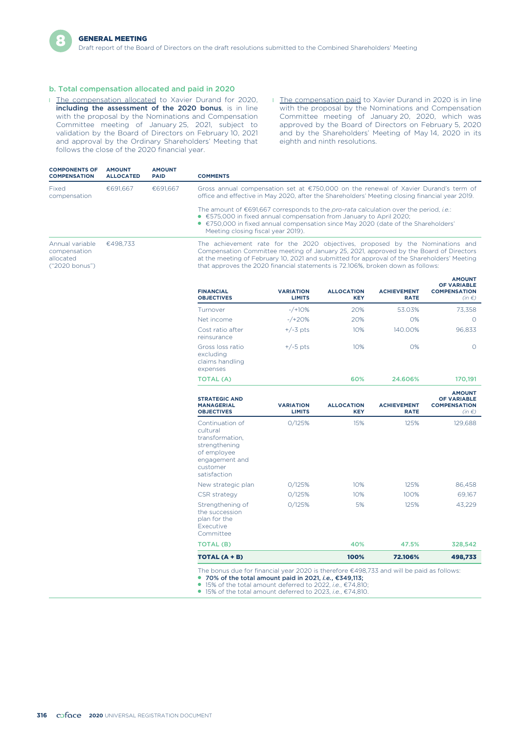### b. Total compensation allocated and paid in 2020

- **I** The compensation allocated to Xavier Durand for 2020, including the assessment of the 2020 bonus, is in line with the proposal by the Nominations and Compensation Committee meeting of January 25, 2021, subject to validation by the Board of Directors on February 10, 2021 and approval by the Ordinary Shareholders' Meeting that follows the close of the 2020 financial year.
- **I** The compensation paid to Xavier Durand in 2020 is in line with the proposal by the Nominations and Compensation Committee meeting of January 20, 2020, which was approved by the Board of Directors on February 5, 2020 and by the Shareholders' Meeting of May 14, 2020 in its eighth and ninth resolutions.

| <b>COMPONENTS OF</b><br><b>COMPENSATION</b>                    | <b>AMOUNT</b><br><b>ALLOCATED</b> | <b>AMOUNT</b><br><b>PAID</b> | <b>COMMENTS</b>                                                                                                                                                                                                                                                                                                                                           |
|----------------------------------------------------------------|-----------------------------------|------------------------------|-----------------------------------------------------------------------------------------------------------------------------------------------------------------------------------------------------------------------------------------------------------------------------------------------------------------------------------------------------------|
| Fixed<br>compensation                                          | €691.667                          | €691.667                     | Gross annual compensation set at $\epsilon$ 750,000 on the renewal of Xavier Durand's term of<br>office and effective in May 2020, after the Shareholders' Meeting closing financial year 2019.                                                                                                                                                           |
|                                                                |                                   |                              | The amount of $\epsilon$ 691,667 corresponds to the <i>pro-rata</i> calculation over the period, <i>i.e.</i> :<br>$\bullet$ €575,000 in fixed annual compensation from January to April 2020:<br>$\bullet$ €750,000 in fixed annual compensation since May 2020 (date of the Shareholders'<br>Meeting closing fiscal year 2019).                          |
| Annual variable<br>compensation<br>allocated<br>("2020 bonus") | €498.733                          |                              | The achievement rate for the 2020 objectives, proposed by the Nominations and<br>Compensation Committee meeting of January 25, 2021, approved by the Board of Directors<br>at the meeting of February 10, 2021 and submitted for approval of the Shareholders' Meeting<br>that approves the 2020 financial statements is 72.106%, broken down as follows: |
|                                                                |                                   |                              | <b>AMOUNT</b>                                                                                                                                                                                                                                                                                                                                             |

| <b>FINANCIAL</b><br><b>OBJECTIVES</b>                                                                                        | <b>VARIATION</b><br><b>LIMITS</b> | <b>ALLOCATION</b><br><b>KEY</b> | <b>ACHIEVEMENT</b><br><b>RATE</b> | <b>OF VARIABLE</b><br><b>COMPENSATION</b><br>$(in \in)$                  |
|------------------------------------------------------------------------------------------------------------------------------|-----------------------------------|---------------------------------|-----------------------------------|--------------------------------------------------------------------------|
| Turnover                                                                                                                     | $-$ /+10%                         | 20%                             | 53.03%                            | 73,358                                                                   |
| Net income                                                                                                                   | $-/-20%$                          | 20%                             | $O\%$                             | $\circ$                                                                  |
| Cost ratio after<br>reinsurance                                                                                              | $+/-3$ pts                        | 10%                             | 140.00%                           | 96,833                                                                   |
| Gross loss ratio<br>excluding<br>claims handling<br>expenses                                                                 | $+/-5$ pts                        | 10%                             | 0%                                | $\Omega$                                                                 |
| <b>TOTAL (A)</b>                                                                                                             |                                   | 60%                             | 24.606%                           | 170,191                                                                  |
| <b>STRATEGIC AND</b><br><b>MANAGERIAL</b><br><b>OBJECTIVES</b>                                                               | <b>VARIATION</b><br><b>LIMITS</b> | <b>ALLOCATION</b><br><b>KEY</b> | <b>ACHIEVEMENT</b><br><b>RATE</b> | <b>AMOUNT</b><br><b>OF VARIABLE</b><br><b>COMPENSATION</b><br>$(in \in)$ |
| Continuation of<br>cultural<br>transformation.<br>strengthening<br>of employee<br>engagement and<br>customer<br>satisfaction | 0/125%                            | 15%                             | 125%                              | 129,688                                                                  |
| New strategic plan                                                                                                           | 0/125%                            | 10%                             | 125%                              | 86,458                                                                   |
| CSR strategy                                                                                                                 | 0/125%                            | 10%                             | 100%                              | 69,167                                                                   |
| Strengthening of<br>the succession<br>plan for the<br><b>Executive</b><br>Committee                                          | 0/125%                            | 5%                              | 125%                              | 43.229                                                                   |
| TOTAL (B)                                                                                                                    |                                   | 40%                             | 47.5%                             | 328,542                                                                  |
| TOTAL $(A + B)$                                                                                                              |                                   | 100%                            | 72.106%                           | 498,733                                                                  |

● 15% of the total amount deferred to 2023, *i.e.*, €74,810.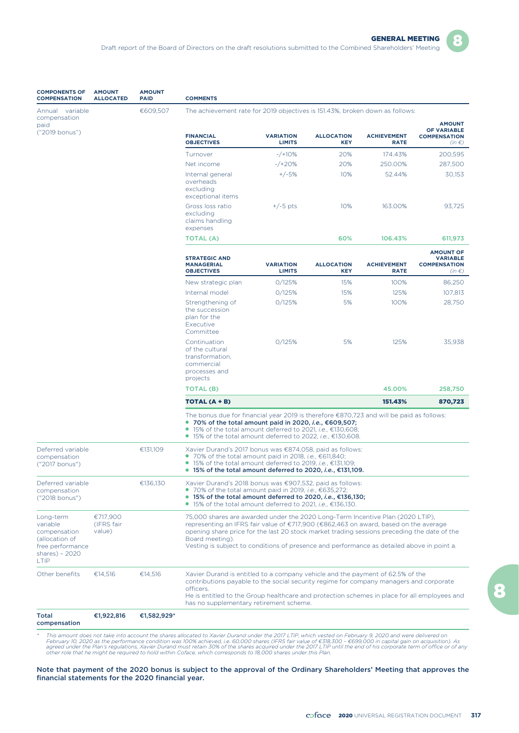

| <b>COMPONENTS OF</b><br><b>COMPENSATION</b>         | <b>AMOUNT</b><br><b>ALLOCATED</b> | <b>AMOUNT</b><br><b>PAID</b> | <b>COMMENTS</b>                                                                                                                                                                                                                                                                                               |                                   |                                 |                                   |                                                                                |  |  |
|-----------------------------------------------------|-----------------------------------|------------------------------|---------------------------------------------------------------------------------------------------------------------------------------------------------------------------------------------------------------------------------------------------------------------------------------------------------------|-----------------------------------|---------------------------------|-----------------------------------|--------------------------------------------------------------------------------|--|--|
| Annual variable                                     |                                   | €609,507                     | The achievement rate for 2019 objectives is 151.43%, broken down as follows:                                                                                                                                                                                                                                  |                                   |                                 |                                   |                                                                                |  |  |
| compensation<br>paid<br>("2019 bonus")              |                                   |                              | <b>FINANCIAL</b><br><b>OBJECTIVES</b>                                                                                                                                                                                                                                                                         | <b>VARIATION</b><br><b>LIMITS</b> | <b>ALLOCATION</b><br><b>KEY</b> | <b>ACHIEVEMENT</b><br><b>RATE</b> | <b>AMOUNT</b><br><b>OF VARIABLE</b><br><b>COMPENSATION</b><br>$(in \in)$       |  |  |
|                                                     |                                   |                              | Turnover                                                                                                                                                                                                                                                                                                      | $-$ /+10%                         | 20%                             | 174.43%                           | 200,595                                                                        |  |  |
|                                                     |                                   |                              | Net income                                                                                                                                                                                                                                                                                                    | $-$ /+20%                         | 20%                             | 250.00%                           | 287,500                                                                        |  |  |
|                                                     |                                   |                              | Internal general<br>overheads<br>excluding<br>exceptional items                                                                                                                                                                                                                                               | $+/-5%$                           | 10%                             | 52.44%                            | 30,153                                                                         |  |  |
|                                                     |                                   |                              | Gross loss ratio<br>excluding<br>claims handling<br>expenses                                                                                                                                                                                                                                                  | $+/-5$ pts                        | 10%                             | 163.00%                           | 93,725                                                                         |  |  |
|                                                     |                                   |                              | <b>TOTAL (A)</b>                                                                                                                                                                                                                                                                                              |                                   | 60%                             | 106.43%                           | 611,973                                                                        |  |  |
|                                                     |                                   |                              | <b>STRATEGIC AND</b><br><b>MANAGERIAL</b><br><b>OBJECTIVES</b>                                                                                                                                                                                                                                                | <b>VARIATION</b><br><b>LIMITS</b> | <b>ALLOCATION</b><br><b>KEY</b> | <b>ACHIEVEMENT</b><br><b>RATE</b> | <b>AMOUNT OF</b><br><b>VARIABLE</b><br><b>COMPENSATION</b><br>(in $\epsilon$ ) |  |  |
|                                                     |                                   |                              | New strategic plan                                                                                                                                                                                                                                                                                            | 0/125%                            | 15%                             | 100%                              | 86,250                                                                         |  |  |
|                                                     |                                   |                              | Internal model                                                                                                                                                                                                                                                                                                | 0/125%                            | 15%                             | 125%                              | 107,813                                                                        |  |  |
|                                                     |                                   |                              | Strengthening of<br>the succession<br>plan for the<br>Executive<br>Committee                                                                                                                                                                                                                                  | 0/125%                            | 5%                              | 100%                              | 28,750                                                                         |  |  |
|                                                     |                                   |                              | Continuation<br>of the cultural<br>transformation,<br>commercial<br>processes and<br>projects                                                                                                                                                                                                                 | O/125%                            | 5%                              | 125%                              | 35,938                                                                         |  |  |
|                                                     |                                   |                              | <b>TOTAL (B)</b>                                                                                                                                                                                                                                                                                              |                                   |                                 | 45.00%                            | 258,750                                                                        |  |  |
|                                                     |                                   |                              | TOTAL (A + B)                                                                                                                                                                                                                                                                                                 |                                   |                                 | 151.43%                           | 870,723                                                                        |  |  |
|                                                     |                                   |                              | The bonus due for financial year 2019 is therefore $\epsilon$ 870,723 and will be paid as follows:<br>● 70% of the total amount paid in 2020, i.e., $€609,507;$<br>● 15% of the total amount deferred to 2021, <i>i.e.</i> , €130,608;<br>● 15% of the total amount deferred to 2022, <i>i.e.</i> , €130,608. |                                   |                                 |                                   |                                                                                |  |  |
| Deferred variable<br>compensation<br>("2017 bonus") |                                   | €131,109                     | Xavier Durand's 2017 bonus was €874,058, paid as follows:<br>● 70% of the total amount paid in 2018, <i>i.e.</i> , €611,840;<br>$\bullet$ 15% of the total amount deferred to 2019, <i>i.e.</i> , $\epsilon$ 131,109;<br>● 15% of the total amount deferred to 2020, <i>i.e.</i> , $€131,109$ .               |                                   |                                 |                                   |                                                                                |  |  |
| Deferred variable<br>compensation<br>("2018 bonus") |                                   | €136,130                     | Xavier Durand's 2018 bonus was €907,532, paid as follows:<br>70% of the total amount paid in 2019, <i>i.e.</i> , €635,272;<br>● 15% of the total amount deferred to 2020, <i>i.e.</i> , $€136,130;$<br>● 15% of the total amount deferred to 2021, <i>i.e.</i> , €136,130.                                    |                                   |                                 |                                   |                                                                                |  |  |

Total compensation

Long-term variable compensation (allocation of free performance shares) – 2020 LTIP

€717,900 (IFRS fair value)

€1,922,816 €1,582,929\*

\* This amount does not take into account the shares allocated to Xavier Durand under the 2017 LTIP, which vested on February 9, 2020 and were delivered on<br>February 10, 2020 as the performance condition was 100% achieved,

has no supplementary retirement scheme.

Board meeting).

officers.

Other benefits €14,516 €14,516 Xavier Durand is entitled to a company vehicle and the payment of 62.5% of the

75,000 shares are awarded under the 2020 Long-Term Incentive Plan (2020 LTIP), representing an IFRS fair value of €717,900 (€862,463 on award, based on the average opening share price for the last 20 stock market trading sessions preceding the date of the

Vesting is subject to conditions of presence and performance as detailed above in point a.

contributions payable to the social security regime for company managers and corporate

He is entitled to the Group healthcare and protection schemes in place for all employees and

Note that payment of the 2020 bonus is subject to the approval of the Ordinary Shareholders' Meeting that approves the financial statements for the 2020 financial year.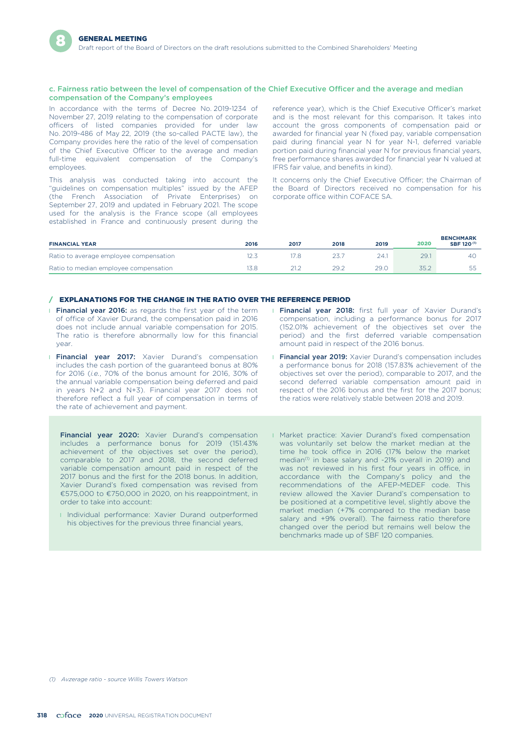#### c. Fairness ratio between the level of compensation of the Chief Executive Officer and the average and median compensation of the Company's employees

In accordance with the terms of Decree No. 2019-1234 of November 27, 2019 relating to the compensation of corporate officers of listed companies provided for under law No. 2019-486 of May 22, 2019 (the so-called PACTE law), the Company provides here the ratio of the level of compensation of the Chief Executive Officer to the average and median full-time equivalent compensation of the Company's employees.

This analysis was conducted taking into account the "guidelines on compensation multiples" issued by the AFEP (the French Association of Private Enterprises) on September 27, 2019 and updated in February 2021. The scope used for the analysis is the France scope (all employees established in France and continuously present during the reference year), which is the Chief Executive Officer's market and is the most relevant for this comparison. It takes into account the gross components of compensation paid or awarded for financial year N (fixed pay, variable compensation paid during financial year N for year N-1, deferred variable portion paid during financial year N for previous financial years, free performance shares awarded for financial year N valued at IFRS fair value, and benefits in kind).

It concerns only the Chief Executive Officer; the Chairman of the Board of Directors received no compensation for his corporate office within COFACE SA.

| <b>FINANCIAL YEAR</b>                  | 2016 | 2017 | 2018 | 2019 | 2020 | <b>BENCHMARK</b><br>SBF 120 <sup>(1)</sup> |
|----------------------------------------|------|------|------|------|------|--------------------------------------------|
| Ratio to average employee compensation |      |      |      | 24.1 | 29.  | 40                                         |
| Ratio to median employee compensation  |      | 21.2 | 29.2 | 29.0 |      | 1.1.                                       |

#### / EXPLANATIONS FOR THE CHANGE IN THE RATIO OVER THE REFERENCE PERIOD

- **Financial year 2016:** as regards the first year of the term of office of Xavier Durand, the compensation paid in 2016 does not include annual variable compensation for 2015. The ratio is therefore abnormally low for this financial year.
- **I Financial year 2017:** Xavier Durand's compensation includes the cash portion of the guaranteed bonus at 80% for 2016 (*i.e.*, 70% of the bonus amount for 2016, 30% of the annual variable compensation being deferred and paid in years N+2 and N+3). Financial year 2017 does not therefore reflect a full year of compensation in terms of the rate of achievement and payment.

**Financial year 2020:** Xavier Durand's compensation includes a performance bonus for 2019 (151.43% achievement of the objectives set over the period), comparable to 2017 and 2018, the second deferred variable compensation amount paid in respect of the 2017 bonus and the first for the 2018 bonus. In addition, Xavier Durand's fixed compensation was revised from €575,000 to €750,000 in 2020, on his reappointment, in order to take into account:

**I** Individual performance: Xavier Durand outperformed his objectives for the previous three financial years,

- **I Financial year 2018:** first full year of Xavier Durand's compensation, including a performance bonus for 2017 (152.01% achievement of the objectives set over the period) and the first deferred variable compensation amount paid in respect of the 2016 bonus.
- **Financial year 2019:** Xavier Durand's compensation includes a performance bonus for 2018 (157.83% achievement of the objectives set over the period), comparable to 2017, and the second deferred variable compensation amount paid in respect of the 2016 bonus and the first for the 2017 bonus; the ratios were relatively stable between 2018 and 2019.
- **I** Market practice: Xavier Durand's fixed compensation was voluntarily set below the market median at the time he took office in 2016 (17% below the market median<sup>(1)</sup> in base salary and -21% overall in 2019) and was not reviewed in his first four years in office, in accordance with the Company's policy and the recommendations of the AFEP-MEDEF code. This review allowed the Xavier Durand's compensation to be positioned at a competitive level, slightly above the market median (+7% compared to the median base salary and +9% overall). The fairness ratio therefore changed over the period but remains well below the benchmarks made up of SBF 120 companies.

*<sup>(1)</sup> Avzerage ratio - source Willis Towers Watson*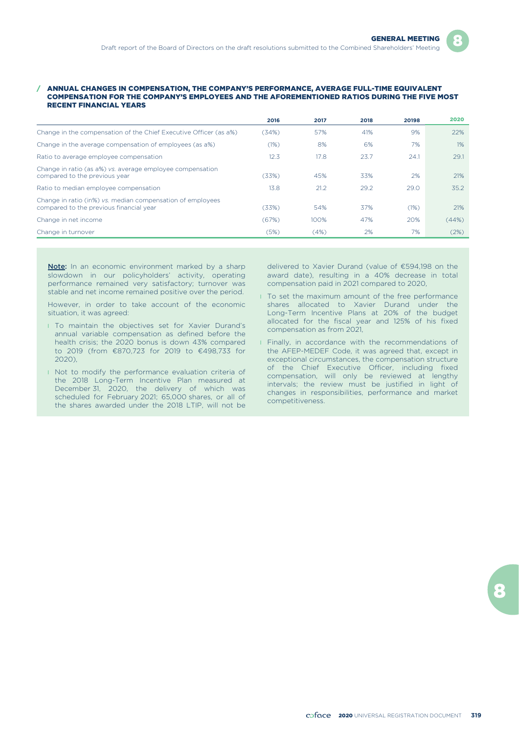#### / ANNUAL CHANGES IN COMPENSATION, THE COMPANY'S PERFORMANCE, AVERAGE FULL-TIME EQUIVALENT COMPENSATION FOR THE COMPANY'S EMPLOYEES AND THE AFOREMENTIONED RATIOS DURING THE FIVE MOST RECENT FINANCIAL YEARS

|                                                                                                       | 2016  | 2017 | 2018 | 20198 | 2020  |
|-------------------------------------------------------------------------------------------------------|-------|------|------|-------|-------|
| Change in the compensation of the Chief Executive Officer (as a%)                                     | (34%) | 57%  | 41%  | 9%    | 22%   |
| Change in the average compensation of employees (as a%)                                               | (1%)  | 8%   | 6%   | 7%    | 1%    |
| Ratio to average employee compensation                                                                | 12.3  | 17.8 | 23.7 | 24.1  | 29.1  |
| Change in ratio (as a%) vs. average employee compensation<br>compared to the previous year            | (33%) | 45%  | 33%  | 2%    | 21%   |
| Ratio to median employee compensation                                                                 | 13.8  | 21.2 | 29.2 | 29.0  | 35.2  |
| Change in ratio (in%) vs. median compensation of employees<br>compared to the previous financial year | (33%) | 54%  | 37%  | (1%)  | 21%   |
| Change in net income                                                                                  | (67%) | 100% | 47%  | 20%   | (44%) |
| Change in turnover                                                                                    | (5%)  | (4%) | 2%   | 7%    | (2%)  |

Note: In an economic environment marked by a sharp slowdown in our policyholders' activity, operating performance remained very satisfactory; turnover was stable and net income remained positive over the period.

However, in order to take account of the economic situation, it was agreed:

- **I** To maintain the objectives set for Xavier Durand's annual variable compensation as defined before the health crisis; the 2020 bonus is down 43% compared to 2019 (from €870,723 for 2019 to €498,733 for 2020),
- I Not to modify the performance evaluation criteria of the 2018 Long-Term Incentive Plan measured at December 31, 2020, the delivery of which was scheduled for February 2021; 65,000 shares, or all of the shares awarded under the 2018 LTIP, will not be

delivered to Xavier Durand (value of €594,198 on the award date), resulting in a 40% decrease in total compensation paid in 2021 compared to 2020,

- **I** To set the maximum amount of the free performance shares allocated to Xavier Durand under the Long-Term Incentive Plans at 20% of the budget allocated for the fiscal year and 125% of his fixed compensation as from 2021,
- **I** Finally, in accordance with the recommendations of the AFEP-MEDEF Code, it was agreed that, except in exceptional circumstances, the compensation structure of the Chief Executive Officer, including fixed compensation, will only be reviewed at lengthy intervals; the review must be justified in light of changes in responsibilities, performance and market competitiveness.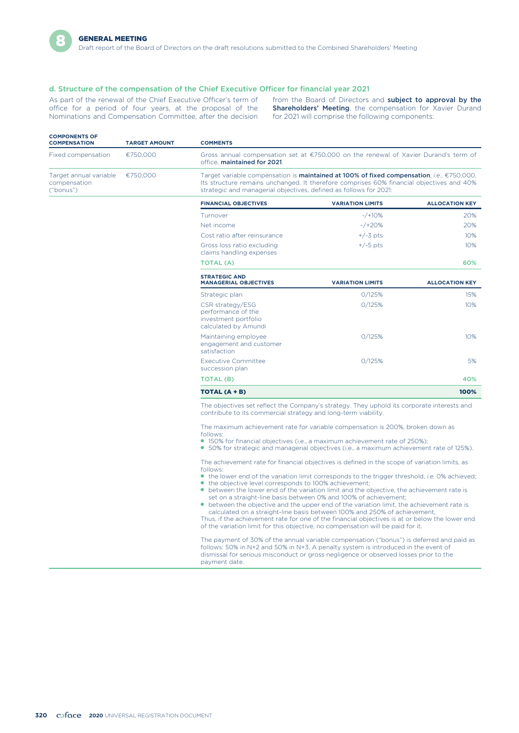

#### d. Structure of the compensation of the Chief Executive Officer for financial year 2021

office for a period of four years, at the proposal of the Nominations and Compensation Committee, after the decision for 2021 will comprise the following components:

As part of the renewal of the Chief Executive Officer's term of from the Board of Directors and **subject to approval by the** office for a period of four years, at the proposal of the **Shareholders' Meeting**, the compensati

| <b>COMPONENTS OF</b><br><b>COMPENSATION</b>                            | <b>TARGET AMOUNT</b> | <b>COMMENTS</b>                                                                                                                                                                                                                                            |
|------------------------------------------------------------------------|----------------------|------------------------------------------------------------------------------------------------------------------------------------------------------------------------------------------------------------------------------------------------------------|
| Fixed compensation                                                     | €750.000             | Gross annual compensation set at €750,000 on the renewal of Xavier Durand's term of<br>office. maintained for 2021.                                                                                                                                        |
| Target annual variable $\epsilon$ 750,000<br>compensation<br>("bonus") |                      | Target variable compensation is maintained at 100% of fixed compensation, i.e., €750,000.<br>Its structure remains unchanged. It therefore comprises 60% financial objectives and 40%<br>strategic and managerial objectives, defined as follows for 2021: |

| <b>FINANCIAL OBJECTIVES</b>                                                            | <b>VARIATION LIMITS</b> | <b>ALLOCATION KEY</b> |
|----------------------------------------------------------------------------------------|-------------------------|-----------------------|
| Turnover                                                                               | $-$ /+10%               | 20%                   |
| Net income                                                                             | $-$ /+20%               | 20%                   |
| Cost ratio after reinsurance                                                           | $+/-3$ pts              | 10%                   |
| Gross loss ratio excluding<br>claims handling expenses                                 | $+/-5$ pts              | 10%                   |
| TOTAL (A)                                                                              |                         | 60%                   |
| <b>STRATEGIC AND</b><br><b>MANAGERIAL OBJECTIVES</b>                                   | <b>VARIATION LIMITS</b> | <b>ALLOCATION KEY</b> |
| Strategic plan                                                                         | 0/125%                  | 15%                   |
| CSR strategy/ESG<br>performance of the<br>investment portfolio<br>calculated by Amundi | 0/125%                  | 10%                   |
| Maintaining employee<br>engagement and customer<br>satisfaction                        | 0/125%                  | 10%                   |
| <b>Executive Committee</b><br>succession plan                                          | 0/125%                  | 5%                    |
| TOTAL (B)                                                                              |                         | 40%                   |
| TOTAL (A + B)                                                                          |                         | 100%                  |

The objectives set reflect the Company's strategy. They uphold its corporate interests and contribute to its commercial strategy and long-term viability.

The maximum achievement rate for variable compensation is 200%, broken down as follows:

- 150% for financial objectives (i.e., a maximum achievement rate of 250%);
- 50% for strategic and managerial objectives (i.e., a maximum achievement rate of 125%).

The achievement rate for financial objectives is defined in the scope of variation limits, as follows:

- the lower end of the variation limit corresponds to the trigger threshold, *i.e.* 0% achieved; ● the objective level corresponds to 100% achievement;
- between the lower end of the variation limit and the objective, the achievement rate is set on a straight-line basis between 0% and 100% of achievement;
- between the objective and the upper end of the variation limit, the achievement rate is calculated on a straight-line basis between 100% and 250% of achievement,

Thus, if the achievement rate for one of the financial objectives is at or below the lower end of the variation limit for this objective, no compensation will be paid for it.

The payment of 30% of the annual variable compensation ("bonus") is deferred and paid as follows: 50% in N+2 and 50% in N+3. A penalty system is introduced in the event of dismissal for serious misconduct or gross negligence or observed losses prior to the payment date.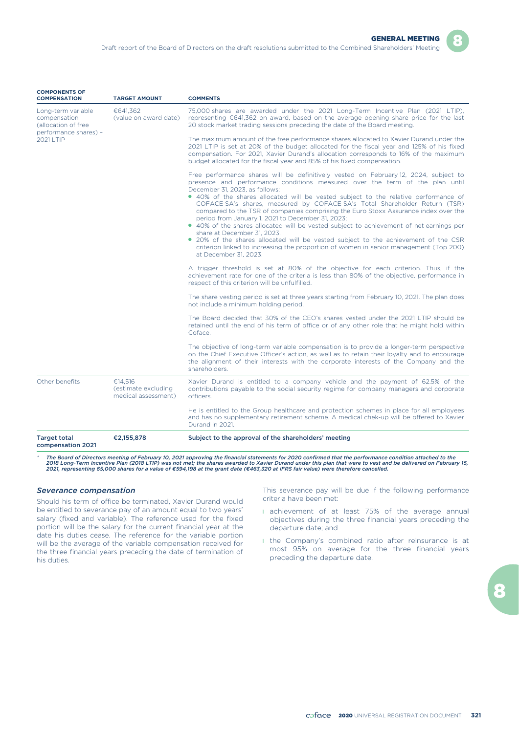

| <b>COMPONENTS OF</b><br><b>COMPENSATION</b>                                        | <b>TARGET AMOUNT</b>                                  | <b>COMMENTS</b>                                                                                                                                                                                                                                                                                                                                                                                                                                                                                                                                                                                                                                                                                                                                                                                                                                           |
|------------------------------------------------------------------------------------|-------------------------------------------------------|-----------------------------------------------------------------------------------------------------------------------------------------------------------------------------------------------------------------------------------------------------------------------------------------------------------------------------------------------------------------------------------------------------------------------------------------------------------------------------------------------------------------------------------------------------------------------------------------------------------------------------------------------------------------------------------------------------------------------------------------------------------------------------------------------------------------------------------------------------------|
| Long-term variable<br>compensation<br>(allocation of free<br>performance shares) - | €641.362<br>(value on award date)                     | 75,000 shares are awarded under the 2021 Long-Term Incentive Plan (2021 LTIP),<br>representing $\epsilon$ 641,362 on award, based on the average opening share price for the last<br>20 stock market trading sessions preceding the date of the Board meeting.                                                                                                                                                                                                                                                                                                                                                                                                                                                                                                                                                                                            |
| 2021 LTIP                                                                          |                                                       | The maximum amount of the free performance shares allocated to Xavier Durand under the<br>2021 LTIP is set at 20% of the budget allocated for the fiscal year and 125% of his fixed<br>compensation. For 2021, Xavier Durand's allocation corresponds to 16% of the maximum<br>budget allocated for the fiscal year and 85% of his fixed compensation.                                                                                                                                                                                                                                                                                                                                                                                                                                                                                                    |
|                                                                                    |                                                       | Free performance shares will be definitively vested on February 12, 2024, subject to<br>presence and performance conditions measured over the term of the plan until<br>December 31, 2023, as follows:<br>• 40% of the shares allocated will be vested subject to the relative performance of<br>COFACE SA's shares, measured by COFACE SA's Total Shareholder Return (TSR)<br>compared to the TSR of companies comprising the Euro Stoxx Assurance index over the<br>period from January 1, 2021 to December 31, 2023;<br>• 40% of the shares allocated will be vested subject to achievement of net earnings per<br>share at December 31, 2023.<br>• 20% of the shares allocated will be vested subject to the achievement of the CSR<br>criterion linked to increasing the proportion of women in senior management (Top 200)<br>at December 31, 2023. |
|                                                                                    |                                                       | A trigger threshold is set at 80% of the objective for each criterion. Thus, if the<br>achievement rate for one of the criteria is less than 80% of the objective, performance in<br>respect of this criterion will be unfulfilled.                                                                                                                                                                                                                                                                                                                                                                                                                                                                                                                                                                                                                       |
|                                                                                    |                                                       | The share vesting period is set at three years starting from February 10, 2021. The plan does<br>not include a minimum holding period.                                                                                                                                                                                                                                                                                                                                                                                                                                                                                                                                                                                                                                                                                                                    |
|                                                                                    |                                                       | The Board decided that 30% of the CEO's shares vested under the 2021 LTIP should be<br>retained until the end of his term of office or of any other role that he might hold within<br>Coface.                                                                                                                                                                                                                                                                                                                                                                                                                                                                                                                                                                                                                                                             |
|                                                                                    |                                                       | The objective of long-term variable compensation is to provide a longer-term perspective<br>on the Chief Executive Officer's action, as well as to retain their loyalty and to encourage<br>the alignment of their interests with the corporate interests of the Company and the<br>shareholders.                                                                                                                                                                                                                                                                                                                                                                                                                                                                                                                                                         |
| Other benefits                                                                     | €14,516<br>(estimate excluding<br>medical assessment) | Xavier Durand is entitled to a company vehicle and the payment of 62.5% of the<br>contributions payable to the social security regime for company managers and corporate<br>officers.                                                                                                                                                                                                                                                                                                                                                                                                                                                                                                                                                                                                                                                                     |
|                                                                                    |                                                       | He is entitled to the Group healthcare and protection schemes in place for all employees<br>and has no supplementary retirement scheme. A medical chek-up will be offered to Xavier<br>Durand in 2021.                                                                                                                                                                                                                                                                                                                                                                                                                                                                                                                                                                                                                                                    |
| <b>Target total</b><br>compensation 2021                                           | €2,155,878                                            | Subject to the approval of the shareholders' meeting                                                                                                                                                                                                                                                                                                                                                                                                                                                                                                                                                                                                                                                                                                                                                                                                      |

*\* The Board of Directors meeting of February 10, 2021 approving the financial statements for 2020 confirmed that the performance condition attached to the* 2018 Long-Term Incentive Plan (2018 LTIP) was not met; the shares awarded to Xavier Durand under this plan that were to vest and be delivered on February 15,<br>2021, representing 65,000 shares for a value of €594,198 at the

### *Severance compensation*

Should his term of office be terminated, Xavier Durand would be entitled to severance pay of an amount equal to two years' salary (fixed and variable). The reference used for the fixed portion will be the salary for the current financial year at the date his duties cease. The reference for the variable portion will be the average of the variable compensation received for the three financial years preceding the date of termination of his duties.

This severance pay will be due if the following performance criteria have been met:

- **I** achievement of at least 75% of the average annual objectives during the three financial years preceding the departure date; and
- l the Company's combined ratio after reinsurance is at most 95% on average for the three financial years preceding the departure date.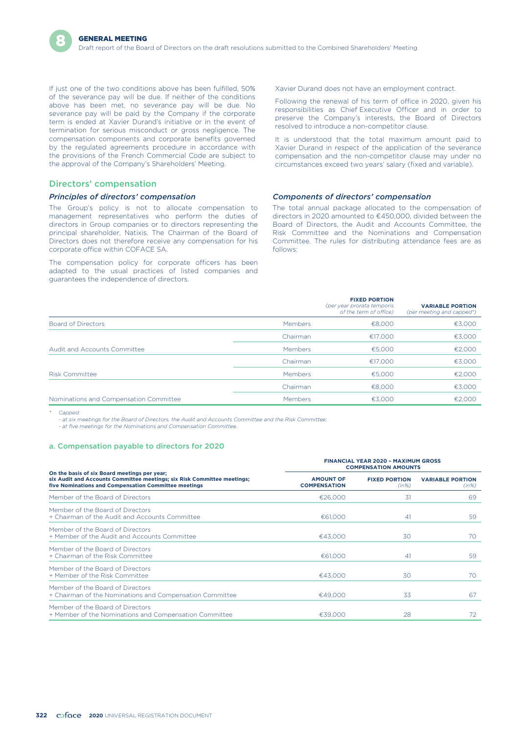If just one of the two conditions above has been fulfilled, 50% of the severance pay will be due. If neither of the conditions above has been met, no severance pay will be due. No severance pay will be paid by the Company if the corporate term is ended at Xavier Durand's initiative or in the event of termination for serious misconduct or gross negligence. The compensation components and corporate benefits governed by the regulated agreements procedure in accordance with the provisions of the French Commercial Code are subject to the approval of the Company's Shareholders' Meeting.

### Directors' compensation

#### *Principles of directors' compensation*

The Group's policy is not to allocate compensation to management representatives who perform the duties of directors in Group companies or to directors representing the principal shareholder, Natixis. The Chairman of the Board of Directors does not therefore receive any compensation for his corporate office within COFACE SA.

The compensation policy for corporate officers has been adapted to the usual practices of listed companies and guarantees the independence of directors.

Xavier Durand does not have an employment contract.

Following the renewal of his term of office in 2020, given his responsibilities as Chief Executive Officer and in order to preserve the Company's interests, the Board of Directors resolved to introduce a non-competitor clause.

It is understood that the total maximum amount paid to Xavier Durand in respect of the application of the severance compensation and the non-competitor clause may under no circumstances exceed two years' salary (fixed and variable).

#### *Components of directors' compensation*

The total annual package allocated to the compensation of directors in 2020 amounted to €450,000, divided between the Board of Directors, the Audit and Accounts Committee, the Risk Committee and the Nominations and Compensation Committee. The rules for distributing attendance fees are as follows:

|                                        |          | <b>FIXED PORTION</b><br>(per year prorata temporis<br>of the term of office) | <b>VARIABLE PORTION</b><br>(per meeting and capped*) |
|----------------------------------------|----------|------------------------------------------------------------------------------|------------------------------------------------------|
| Board of Directors                     | Members  | €8.000                                                                       | €3,000                                               |
|                                        | Chairman | €17,000                                                                      | €3,000                                               |
| Audit and Accounts Committee           | Members  | €5,000                                                                       | €2,000                                               |
|                                        | Chairman | €17,000                                                                      | €3,000                                               |
| <b>Risk Committee</b>                  | Members  | €5.000                                                                       | €2,000                                               |
|                                        | Chairman | €8,000                                                                       | €3.000                                               |
| Nominations and Compensation Committee | Members  | €3,000                                                                       | €2.000                                               |

*\* Capped:*

*- at six meetings for the Board of Directors, the Audit and Accounts Committee and the Risk Committee;*

*- at five meetings for the Nominations and Compensation Committee.*

#### a. Compensation payable to directors for 2020

|                                                                                                                                                                                 | <b>FINANCIAL YEAR 2020 - MAXIMUM GROSS</b><br><b>COMPENSATION AMOUNTS</b> |                               |                                  |
|---------------------------------------------------------------------------------------------------------------------------------------------------------------------------------|---------------------------------------------------------------------------|-------------------------------|----------------------------------|
| On the basis of six Board meetings per year;<br>six Audit and Accounts Committee meetings; six Risk Committee meetings;<br>five Nominations and Compensation Committee meetings | <b>AMOUNT OF</b><br><b>COMPENSATION</b>                                   | <b>FIXED PORTION</b><br>(in%) | <b>VARIABLE PORTION</b><br>(in%) |
| Member of the Board of Directors                                                                                                                                                | €26,000                                                                   | 31                            | 69                               |
| Member of the Board of Directors<br>+ Chairman of the Audit and Accounts Committee                                                                                              | €61,000                                                                   | 41                            | 59                               |
| Member of the Board of Directors<br>+ Member of the Audit and Accounts Committee                                                                                                | €43,000                                                                   | 30                            | 70                               |
| Member of the Board of Directors<br>+ Chairman of the Risk Committee                                                                                                            | €61,000                                                                   | 41                            | 59                               |
| Member of the Board of Directors<br>+ Member of the Risk Committee                                                                                                              | €43.000                                                                   | 30                            | 70.                              |
| Member of the Board of Directors<br>+ Chairman of the Nominations and Compensation Committee                                                                                    | €49,000                                                                   | 33                            | 67                               |
| Member of the Board of Directors<br>+ Member of the Nominations and Compensation Committee                                                                                      | €39,000                                                                   | 28                            | 72                               |